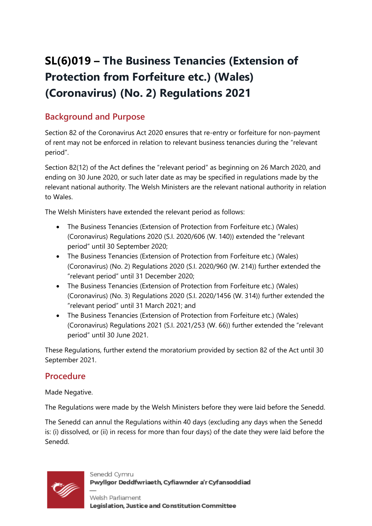# **SL(6)019 – The Business Tenancies (Extension of Protection from Forfeiture etc.) (Wales) (Coronavirus) (No. 2) Regulations 2021**

## **Background and Purpose**

Section 82 of the Coronavirus Act 2020 ensures that re-entry or forfeiture for non-payment of rent may not be enforced in relation to relevant business tenancies during the "relevant period".

Section 82(12) of the Act defines the "relevant period" as beginning on 26 March 2020, and ending on 30 June 2020, or such later date as may be specified in regulations made by the relevant national authority. The Welsh Ministers are the relevant national authority in relation to Wales.

The Welsh Ministers have extended the relevant period as follows:

- The Business Tenancies (Extension of Protection from Forfeiture etc.) (Wales) (Coronavirus) Regulations 2020 (S.I. 2020/606 (W. 140)) extended the "relevant period" until 30 September 2020;
- The Business Tenancies (Extension of Protection from Forfeiture etc.) (Wales) (Coronavirus) (No. 2) Regulations 2020 (S.I. 2020/960 (W. 214)) further extended the "relevant period" until 31 December 2020;
- The Business Tenancies (Extension of Protection from Forfeiture etc.) (Wales) (Coronavirus) (No. 3) Regulations 2020 (S.I. 2020/1456 (W. 314)) further extended the "relevant period" until 31 March 2021; and
- The Business Tenancies (Extension of Protection from Forfeiture etc.) (Wales) (Coronavirus) Regulations 2021 (S.I. 2021/253 (W. 66)) further extended the "relevant period" until 30 June 2021.

These Regulations, further extend the moratorium provided by section 82 of the Act until 30 September 2021.

#### **Procedure**

Made Negative.

The Regulations were made by the Welsh Ministers before they were laid before the Senedd.

The Senedd can annul the Regulations within 40 days (excluding any days when the Senedd is: (i) dissolved, or (ii) in recess for more than four days) of the date they were laid before the Senedd.



Senedd Cymru Pwyllgor Deddfwriaeth, Cyfiawnder a'r Cyfansoddiad